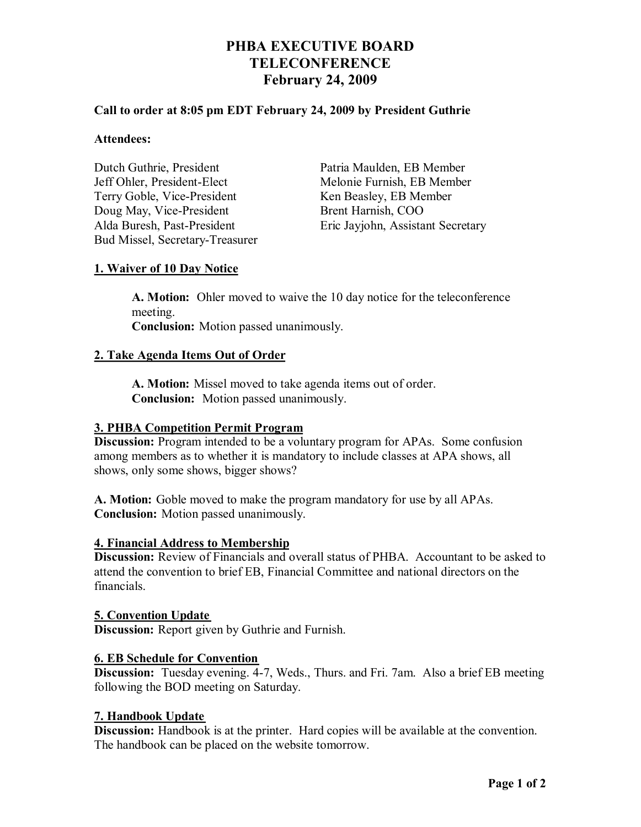# **PHBA EXECUTIVE BOARD TELECONFERENCE February 24, 2009**

## **Call to order at 8:05 pm EDT February 24, 2009 by President Guthrie**

#### **Attendees:**

Dutch Guthrie, President Patria Maulden, EB Member Jeff Ohler, President-Elect Melonie Furnish, EB Member Terry Goble, Vice-President Ken Beasley, EB Member Doug May, Vice-President Brent Harnish, COO Bud Missel, Secretary-Treasurer

Alda Buresh, Past-President Eric Jayjohn, Assistant Secretary

## **1. Waiver of 10 Day Notice**

**A. Motion:** Ohler moved to waive the 10 day notice for the teleconference meeting. **Conclusion:** Motion passed unanimously.

## **2. Take Agenda Items Out of Order**

**A. Motion:** Missel moved to take agenda items out of order. **Conclusion:** Motion passed unanimously.

### **3. PHBA Competition Permit Program**

**Discussion:** Program intended to be a voluntary program for APAs. Some confusion among members as to whether it is mandatory to include classes at APA shows, all shows, only some shows, bigger shows?

**A. Motion:** Goble moved to make the program mandatory for use by all APAs. **Conclusion:** Motion passed unanimously.

### **4. Financial Address to Membership**

**Discussion:** Review of Financials and overall status of PHBA. Accountant to be asked to attend the convention to brief EB, Financial Committee and national directors on the financials.

# **5. Convention Update**

**Discussion:** Report given by Guthrie and Furnish.

### **6. EB Schedule for Convention**

**Discussion:** Tuesday evening. 4-7, Weds., Thurs. and Fri. 7am. Also a brief EB meeting following the BOD meeting on Saturday.

### **7. Handbook Update**

**Discussion:** Handbook is at the printer. Hard copies will be available at the convention. The handbook can be placed on the website tomorrow.